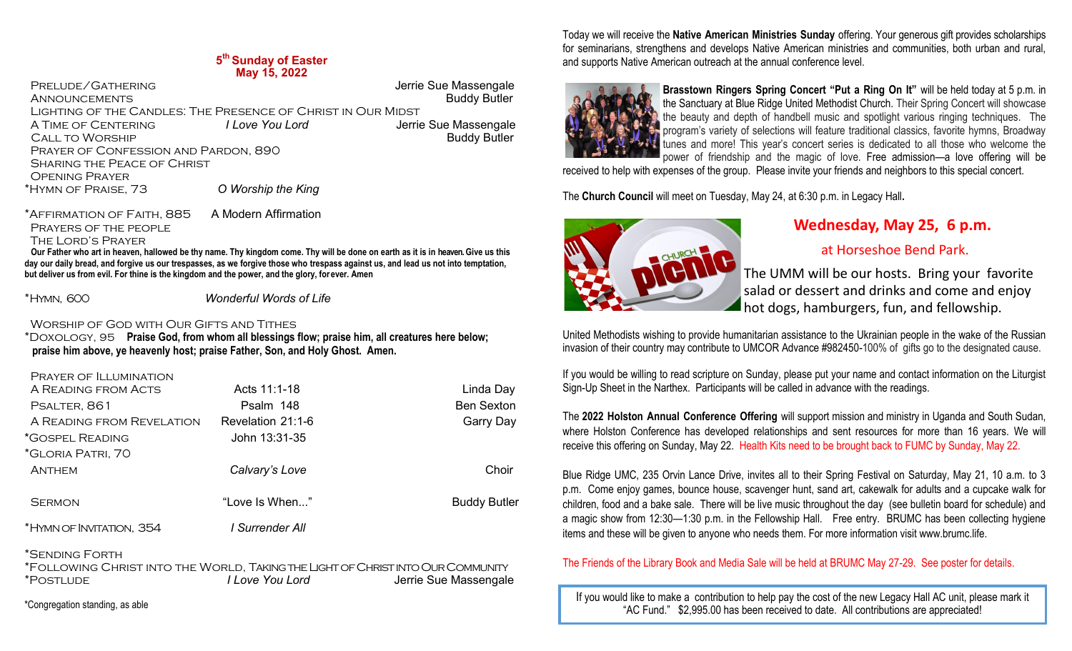#### **5 th Sunday of Easter May 15, 2022**

 Prelude/Gathering Jerrie Sue Massengale **ANNOUNCEMENTS**  Lighting of the Candles: The Presence of Christ in Our Midst A TIME OF CENTERING *I Love You Lord I Love You Lord* Jerrie Sue Massengale<br>CALL TO WORSHIP **CALL TO WORSHIP**  Prayer of Confession and Pardon, 890 SHARING THE PEACE OF CHRIST Opening Prayer \*Hymn of Praise, 73 *O Worship the King*

\*Affirmation of Faith, 885 A Modern Affirmation

PRAYERS OF THE PEOPLE

The Lord's Prayer

 **Our Father who art in heaven, hallowed be thy name. Thy kingdom come. Thy will be done on earth as it is in heaven. Give us this day our daily bread, and forgive us our trespasses, as we forgive those who trespass against us, and lead us not into temptation, but deliver us from evil. For thine is the kingdom and the power, and the glory, for ever. Amen**

\*Hymn, 600 *Wonderful Words of Life*

Worship of God with Our Gifts and Tithes

\*Doxology, 95 **Praise God, from whom all blessings flow; praise him, all creatures here below; praise him above, ye heavenly host; praise Father, Son, and Holy Ghost. Amen.** 

Prayer of Illumination

| A READING FROM ACTS       | Acts 11:1-18        | Linda Day           |
|---------------------------|---------------------|---------------------|
| PSALTER, 861              | Psalm 148           | <b>Ben Sexton</b>   |
| A READING FROM REVELATION | Revelation $21:1-6$ | <b>Garry Day</b>    |
| *GOSPEL READING           | John 13:31-35       |                     |
| *GLORIA PATRI, 70         |                     |                     |
| <b>ANTHEM</b>             | Calvary's Love      | Choir               |
|                           |                     |                     |
| <b>SERMON</b>             | "Love Is When"      | <b>Buddy Butler</b> |
| *HYMN OF INVITATION, 354  | I Surrender All     |                     |
|                           |                     |                     |

\*Sending Forth

\*Following Christ into the World, Taking the Light of Christ into Our Community \*Postlude *I Love You Lord* Jerrie Sue Massengale

\*Congregation standing, as able

Today we will receive the **Native American Ministries Sunday** offering. Your generous gift provides scholarships for seminarians, strengthens and develops Native American ministries and communities, both urban and rural, and supports Native American outreach at the annual conference level.



**Brasstown Ringers Spring Concert "Put a Ring On It"** will be held today at 5 p.m. in the Sanctuary at Blue Ridge United Methodist Church. Their Spring Concert will showcase the beauty and depth of handbell music and spotlight various ringing techniques. The program's variety of selections will feature traditional classics, favorite hymns, Broadway tunes and more! This year's concert series is dedicated to all those who welcome the power of friendship and the magic of love. Free admission—a love offering will be

received to help with expenses of the group. Please invite your friends and neighbors to this special concert.

The **Church Council** will meet on Tuesday, May 24, at 6:30 p.m. in Legacy Hall**.** 



## **Wednesday, May 25, 6 p.m.**

### at Horseshoe Bend Park.

The UMM will be our hosts. Bring your favorite salad or dessert and drinks and come and enjoy hot dogs, hamburgers, fun, and fellowship.

United Methodists wishing to provide humanitarian assistance to the Ukrainian people in the wake of the Russian invasion of their country may contribute to UMCOR Advance #982450-100% of gifts go to the designated cause.

If you would be willing to read scripture on Sunday, please put your name and contact information on the Liturgist Sign-Up Sheet in the Narthex. Participants will be called in advance with the readings.

The **2022 Holston Annual Conference Offering** will support mission and ministry in Uganda and South Sudan, where Holston Conference has developed relationships and sent resources for more than 16 years. We will receive this offering on Sunday, May 22. Health Kits need to be brought back to FUMC by Sunday, May 22.

Blue Ridge UMC, 235 Orvin Lance Drive, invites all to their Spring Festival on Saturday, May 21, 10 a.m. to 3 p.m. Come enjoy games, bounce house, scavenger hunt, sand art, cakewalk for adults and a cupcake walk for children, food and a bake sale. There will be live music throughout the day (see bulletin board for schedule) and a magic show from 12:30—1:30 p.m. in the Fellowship Hall. Free entry. BRUMC has been collecting hygiene items and these will be given to anyone who needs them. For more information visit www.brumc.life.

The Friends of the Library Book and Media Sale will be held at BRUMC May 27-29. See poster for details.

If you would like to make a contribution to help pay the cost of the new Legacy Hall AC unit, please mark it "AC Fund." \$2,995.00 has been received to date. All contributions are appreciated!